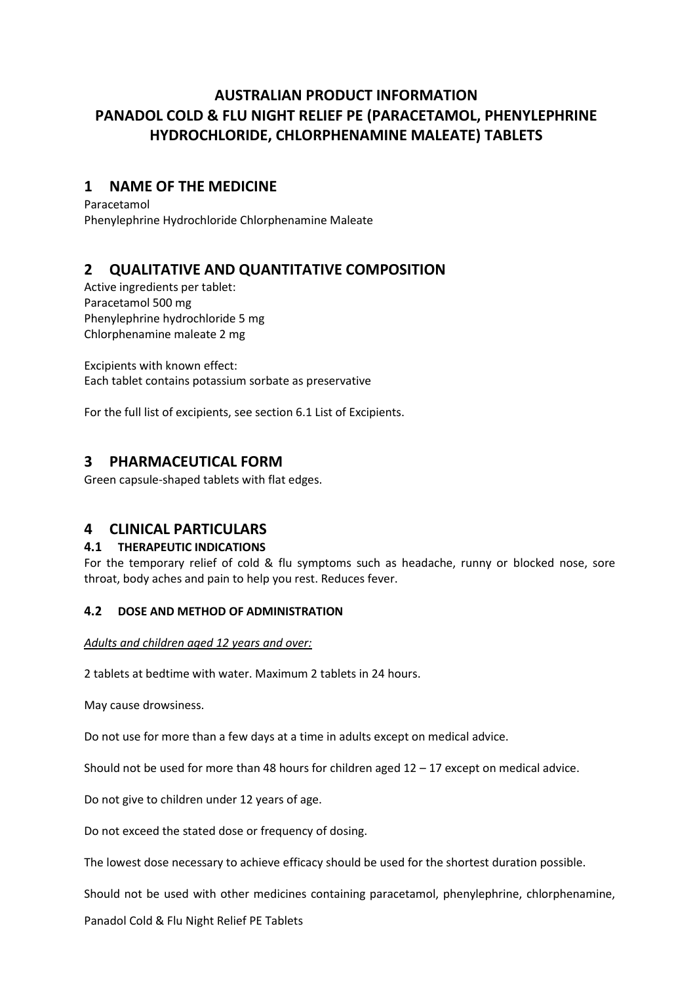# **AUSTRALIAN PRODUCT INFORMATION PANADOL COLD & FLU NIGHT RELIEF PE (PARACETAMOL, PHENYLEPHRINE HYDROCHLORIDE, CHLORPHENAMINE MALEATE) TABLETS**

# **1 NAME OF THE MEDICINE**

Paracetamol Phenylephrine Hydrochloride Chlorphenamine Maleate

# **2 QUALITATIVE AND QUANTITATIVE COMPOSITION**

Active ingredients per tablet: Paracetamol 500 mg Phenylephrine hydrochloride 5 mg Chlorphenamine maleate 2 mg

Excipients with known effect: Each tablet contains potassium sorbate as preservative

For the full list of excipients, see section 6.1 List of Excipients.

# **3 PHARMACEUTICAL FORM**

Green capsule-shaped tablets with flat edges.

# **4 CLINICAL PARTICULARS**

# **4.1 THERAPEUTIC INDICATIONS**

For the temporary relief of cold & flu symptoms such as headache, runny or blocked nose, sore throat, body aches and pain to help you rest. Reduces fever.

# **4.2 DOSE AND METHOD OF ADMINISTRATION**

# *Adults and children aged 12 years and over:*

2 tablets at bedtime with water. Maximum 2 tablets in 24 hours.

May cause drowsiness.

Do not use for more than a few days at a time in adults except on medical advice.

Should not be used for more than 48 hours for children aged  $12 - 17$  except on medical advice.

Do not give to children under 12 years of age.

Do not exceed the stated dose or frequency of dosing.

The lowest dose necessary to achieve efficacy should be used for the shortest duration possible.

Should not be used with other medicines containing paracetamol, phenylephrine, chlorphenamine,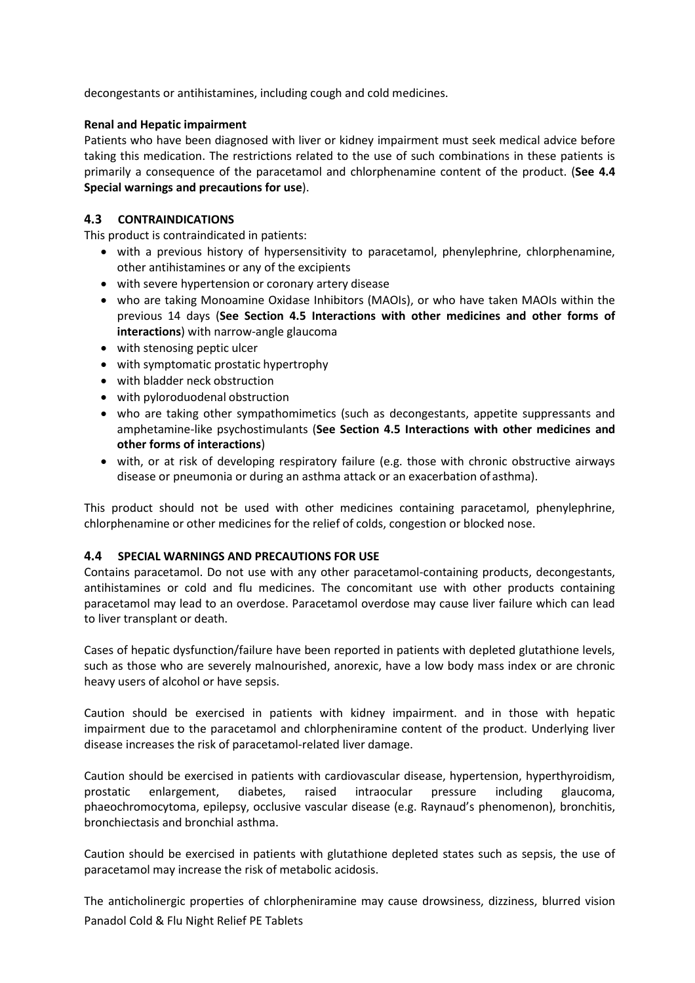decongestants or antihistamines, including cough and cold medicines.

## **Renal and Hepatic impairment**

Patients who have been diagnosed with liver or kidney impairment must seek medical advice before taking this medication. The restrictions related to the use of such combinations in these patients is primarily a consequence of the paracetamol and chlorphenamine content of the product. (**See 4.4 Special warnings and precautions for use**).

# **4.3 CONTRAINDICATIONS**

This product is contraindicated in patients:

- with a previous history of hypersensitivity to paracetamol, phenylephrine, chlorphenamine, other antihistamines or any of the excipients
- with severe hypertension or coronary artery disease
- who are taking Monoamine Oxidase Inhibitors (MAOIs), or who have taken MAOIs within the previous 14 days (**See Section 4.5 Interactions with other medicines and other forms of interactions**) with narrow-angle glaucoma
- with stenosing peptic ulcer
- with symptomatic prostatic hypertrophy
- with bladder neck obstruction
- with pyloroduodenal obstruction
- who are taking other sympathomimetics (such as decongestants, appetite suppressants and amphetamine-like psychostimulants (**See Section 4.5 Interactions with other medicines and other forms of interactions**)
- with, or at risk of developing respiratory failure (e.g. those with chronic obstructive airways disease or pneumonia or during an asthma attack or an exacerbation of asthma).

This product should not be used with other medicines containing paracetamol, phenylephrine, chlorphenamine or other medicines for the relief of colds, congestion or blocked nose.

## **4.4 SPECIAL WARNINGS AND PRECAUTIONS FOR USE**

Contains paracetamol. Do not use with any other paracetamol-containing products, decongestants, antihistamines or cold and flu medicines. The concomitant use with other products containing paracetamol may lead to an overdose. Paracetamol overdose may cause liver failure which can lead to liver transplant or death.

Cases of hepatic dysfunction/failure have been reported in patients with depleted glutathione levels, such as those who are severely malnourished, anorexic, have a low body mass index or are chronic heavy users of alcohol or have sepsis.

Caution should be exercised in patients with kidney impairment. and in those with hepatic impairment due to the paracetamol and chlorpheniramine content of the product. Underlying liver disease increases the risk of paracetamol-related liver damage.

Caution should be exercised in patients with cardiovascular disease, hypertension, hyperthyroidism, prostatic enlargement, diabetes, raised intraocular pressure including glaucoma, phaeochromocytoma, epilepsy, occlusive vascular disease (e.g. Raynaud's phenomenon), bronchitis, bronchiectasis and bronchial asthma.

Caution should be exercised in patients with glutathione depleted states such as sepsis, the use of paracetamol may increase the risk of metabolic acidosis.

Panadol Cold & Flu Night Relief PE Tablets The anticholinergic properties of chlorpheniramine may cause drowsiness, dizziness, blurred vision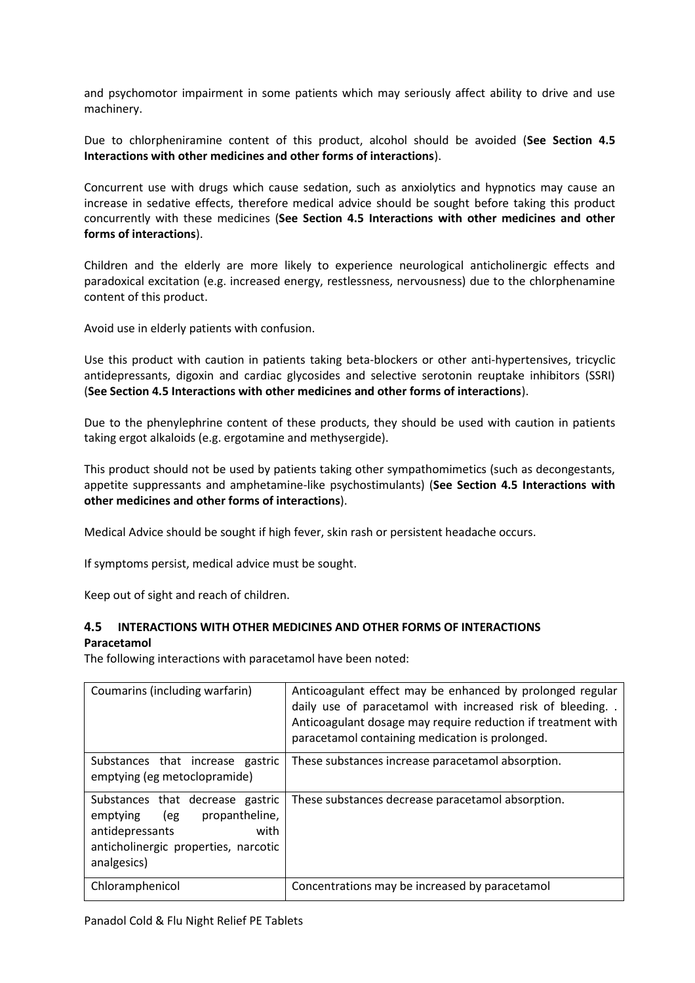and psychomotor impairment in some patients which may seriously affect ability to drive and use machinery.

Due to chlorpheniramine content of this product, alcohol should be avoided (**See Section 4.5 Interactions with other medicines and other forms of interactions**).

Concurrent use with drugs which cause sedation, such as anxiolytics and hypnotics may cause an increase in sedative effects, therefore medical advice should be sought before taking this product concurrently with these medicines (**See Section 4.5 Interactions with other medicines and other forms of interactions**).

Children and the elderly are more likely to experience neurological anticholinergic effects and paradoxical excitation (e.g. increased energy, restlessness, nervousness) due to the chlorphenamine content of this product.

Avoid use in elderly patients with confusion.

Use this product with caution in patients taking beta-blockers or other anti-hypertensives, tricyclic antidepressants, digoxin and cardiac glycosides and selective serotonin reuptake inhibitors (SSRI) (**See Section 4.5 Interactions with other medicines and other forms of interactions**).

Due to the phenylephrine content of these products, they should be used with caution in patients taking ergot alkaloids (e.g. ergotamine and methysergide).

This product should not be used by patients taking other sympathomimetics (such as decongestants, appetite suppressants and amphetamine-like psychostimulants) (**See Section 4.5 Interactions with other medicines and other forms of interactions**).

Medical Advice should be sought if high fever, skin rash or persistent headache occurs.

If symptoms persist, medical advice must be sought.

Keep out of sight and reach of children.

# **4.5 INTERACTIONS WITH OTHER MEDICINES AND OTHER FORMS OF INTERACTIONS Paracetamol**

The following interactions with paracetamol have been noted:

| Coumarins (including warfarin)                                                                                                                       | Anticoagulant effect may be enhanced by prolonged regular<br>daily use of paracetamol with increased risk of bleeding. .<br>Anticoagulant dosage may require reduction if treatment with<br>paracetamol containing medication is prolonged. |
|------------------------------------------------------------------------------------------------------------------------------------------------------|---------------------------------------------------------------------------------------------------------------------------------------------------------------------------------------------------------------------------------------------|
| Substances that increase gastric<br>emptying (eg metoclopramide)                                                                                     | These substances increase paracetamol absorption.                                                                                                                                                                                           |
| Substances that decrease gastric<br>emptying (eg<br>propantheline,<br>antidepressants<br>with<br>anticholinergic properties, narcotic<br>analgesics) | These substances decrease paracetamol absorption.                                                                                                                                                                                           |
| Chloramphenicol                                                                                                                                      | Concentrations may be increased by paracetamol                                                                                                                                                                                              |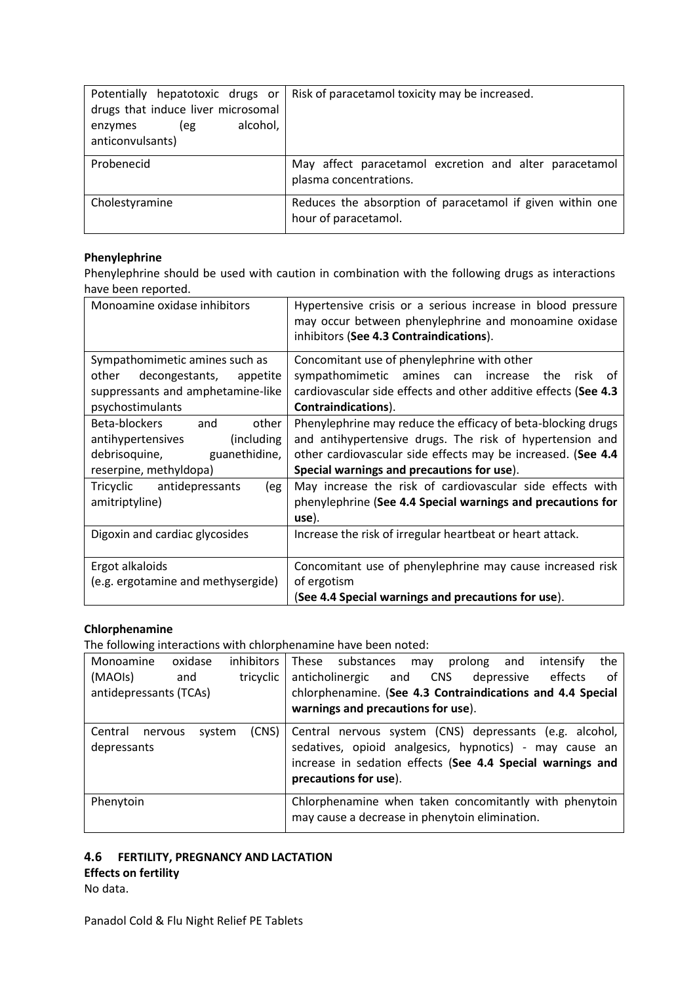| Potentially hepatotoxic drugs or<br>drugs that induce liver microsomal<br>alcohol,<br>enzymes<br>(eg<br>anticonvulsants) | Risk of paracetamol toxicity may be increased.                                    |
|--------------------------------------------------------------------------------------------------------------------------|-----------------------------------------------------------------------------------|
| Probenecid                                                                                                               | May affect paracetamol excretion and alter paracetamol<br>plasma concentrations.  |
| Cholestyramine                                                                                                           | Reduces the absorption of paracetamol if given within one<br>hour of paracetamol. |

# **Phenylephrine**

Phenylephrine should be used with caution in combination with the following drugs as interactions have been reported.

| Monoamine oxidase inhibitors       | Hypertensive crisis or a serious increase in blood pressure<br>may occur between phenylephrine and monoamine oxidase<br>inhibitors (See 4.3 Contraindications). |
|------------------------------------|-----------------------------------------------------------------------------------------------------------------------------------------------------------------|
| Sympathomimetic amines such as     | Concomitant use of phenylephrine with other                                                                                                                     |
| other<br>decongestants, appetite   | sympathomimetic amines can increase<br>the<br>risk of                                                                                                           |
| suppressants and amphetamine-like  | cardiovascular side effects and other additive effects (See 4.3                                                                                                 |
| psychostimulants                   | Contraindications).                                                                                                                                             |
| Beta-blockers and<br>other         | Phenylephrine may reduce the efficacy of beta-blocking drugs                                                                                                    |
| (including<br>antihypertensives    | and antihypertensive drugs. The risk of hypertension and                                                                                                        |
| debrisoquine, guanethidine,        | other cardiovascular side effects may be increased. (See 4.4                                                                                                    |
| reserpine, methyldopa)             | Special warnings and precautions for use).                                                                                                                      |
| Tricyclic antidepressants<br>(eg   | May increase the risk of cardiovascular side effects with                                                                                                       |
| amitriptyline)                     | phenylephrine (See 4.4 Special warnings and precautions for                                                                                                     |
|                                    | use).                                                                                                                                                           |
| Digoxin and cardiac glycosides     | Increase the risk of irregular heartbeat or heart attack.                                                                                                       |
|                                    |                                                                                                                                                                 |
| Ergot alkaloids                    | Concomitant use of phenylephrine may cause increased risk                                                                                                       |
| (e.g. ergotamine and methysergide) | of ergotism                                                                                                                                                     |
|                                    | (See 4.4 Special warnings and precautions for use).                                                                                                             |

# **Chlorphenamine**

The following interactions with chlorphenamine have been noted:

| Monoamine                         | oxidase | <i>inhibitors</i> | These substances<br>the<br>prolong<br>and<br>intensify<br>may                                                                                                                                             |
|-----------------------------------|---------|-------------------|-----------------------------------------------------------------------------------------------------------------------------------------------------------------------------------------------------------|
| (MAOIs)                           | and     | tricyclic         | effects<br>anticholinergic and<br><b>CNS</b><br>depressive<br>οf                                                                                                                                          |
| antidepressants (TCAs)            |         |                   | chlorphenamine. (See 4.3 Contraindications and 4.4 Special                                                                                                                                                |
|                                   |         |                   | warnings and precautions for use).                                                                                                                                                                        |
| Central<br>nervous<br>depressants | system  | (CNS)             | Central nervous system (CNS) depressants (e.g. alcohol,<br>sedatives, opioid analgesics, hypnotics) - may cause an<br>increase in sedation effects (See 4.4 Special warnings and<br>precautions for use). |
| Phenytoin                         |         |                   | Chlorphenamine when taken concomitantly with phenytoin<br>may cause a decrease in phenytoin elimination.                                                                                                  |

# **4.6 FERTILITY, PREGNANCY AND LACTATION**

**Effects on fertility**

No data.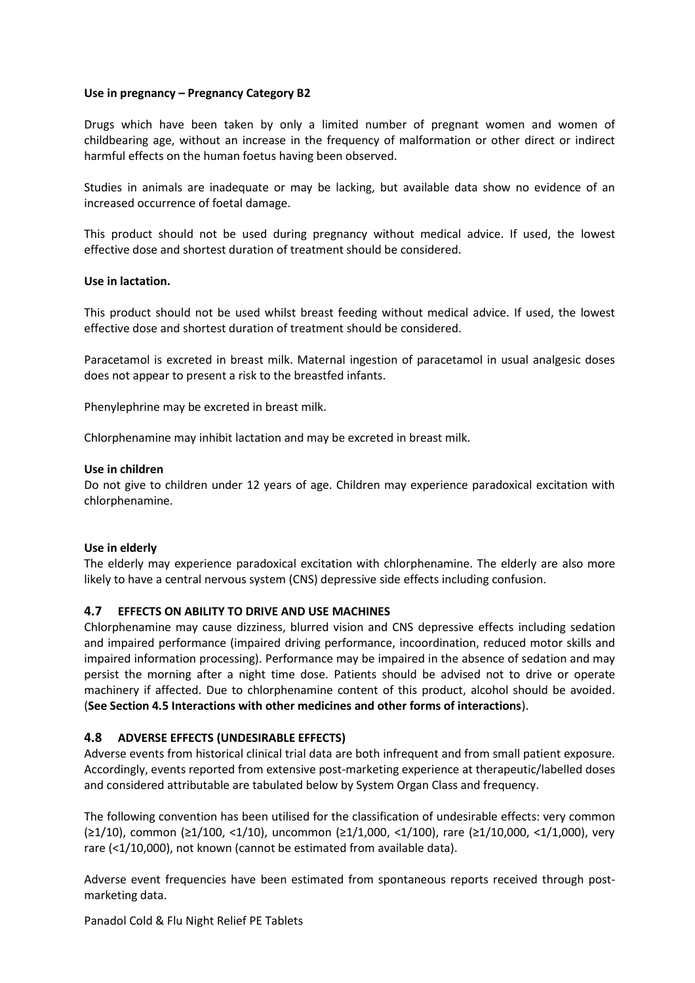## **Use in pregnancy – Pregnancy Category B2**

Drugs which have been taken by only a limited number of pregnant women and women of childbearing age, without an increase in the frequency of malformation or other direct or indirect harmful effects on the human foetus having been observed.

Studies in animals are inadequate or may be lacking, but available data show no evidence of an increased occurrence of foetal damage.

This product should not be used during pregnancy without medical advice. If used, the lowest effective dose and shortest duration of treatment should be considered.

## **Use in lactation.**

This product should not be used whilst breast feeding without medical advice. If used, the lowest effective dose and shortest duration of treatment should be considered.

Paracetamol is excreted in breast milk. Maternal ingestion of paracetamol in usual analgesic doses does not appear to present a risk to the breastfed infants.

Phenylephrine may be excreted in breast milk.

Chlorphenamine may inhibit lactation and may be excreted in breast milk.

## **Use in children**

Do not give to children under 12 years of age. Children may experience paradoxical excitation with chlorphenamine.

## **Use in elderly**

The elderly may experience paradoxical excitation with chlorphenamine. The elderly are also more likely to have a central nervous system (CNS) depressive side effects including confusion.

# **4.7 EFFECTS ON ABILITY TO DRIVE AND USE MACHINES**

Chlorphenamine may cause dizziness, blurred vision and CNS depressive effects including sedation and impaired performance (impaired driving performance, incoordination, reduced motor skills and impaired information processing). Performance may be impaired in the absence of sedation and may persist the morning after a night time dose. Patients should be advised not to drive or operate machinery if affected. Due to chlorphenamine content of this product, alcohol should be avoided. (**See Section 4.5 Interactions with other medicines and other forms of interactions**).

## **4.8 ADVERSE EFFECTS (UNDESIRABLE EFFECTS)**

Adverse events from historical clinical trial data are both infrequent and from small patient exposure. Accordingly, events reported from extensive post-marketing experience at therapeutic/labelled doses and considered attributable are tabulated below by System Organ Class and frequency.

The following convention has been utilised for the classification of undesirable effects: very common (≥1/10), common (≥1/100, <1/10), uncommon (≥1/1,000, <1/100), rare (≥1/10,000, <1/1,000), very rare (<1/10,000), not known (cannot be estimated from available data).

Adverse event frequencies have been estimated from spontaneous reports received through postmarketing data.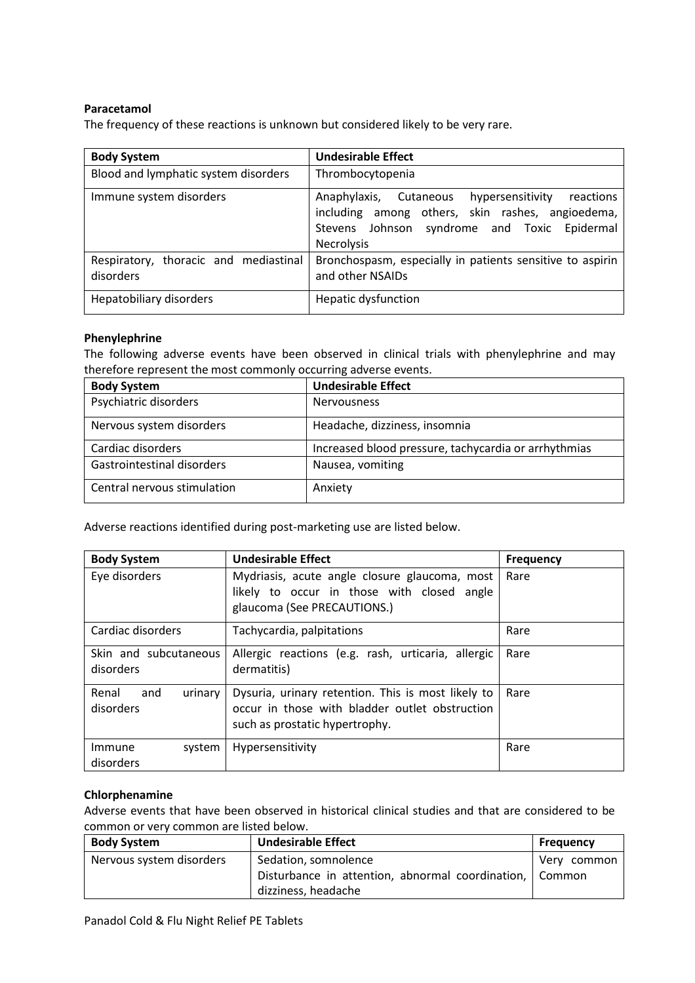# **Paracetamol**

The frequency of these reactions is unknown but considered likely to be very rare.

| <b>Body System</b>                                 | <b>Undesirable Effect</b>                                                                                                                                                    |
|----------------------------------------------------|------------------------------------------------------------------------------------------------------------------------------------------------------------------------------|
| Blood and lymphatic system disorders               | Thrombocytopenia                                                                                                                                                             |
| Immune system disorders                            | Anaphylaxis, Cutaneous<br>hypersensitivity<br>reactions<br>among others, skin rashes, angioedema,<br>including<br>Stevens Johnson syndrome and Toxic Epidermal<br>Necrolysis |
| Respiratory, thoracic and mediastinal<br>disorders | Bronchospasm, especially in patients sensitive to aspirin<br>and other NSAIDs                                                                                                |
| Hepatobiliary disorders                            | Hepatic dysfunction                                                                                                                                                          |

# **Phenylephrine**

The following adverse events have been observed in clinical trials with phenylephrine and may therefore represent the most commonly occurring adverse events.

| <b>Body System</b>          | <b>Undesirable Effect</b>                            |
|-----------------------------|------------------------------------------------------|
| Psychiatric disorders       | <b>Nervousness</b>                                   |
| Nervous system disorders    | Headache, dizziness, insomnia                        |
| Cardiac disorders           | Increased blood pressure, tachycardia or arrhythmias |
| Gastrointestinal disorders  | Nausea, vomiting                                     |
| Central nervous stimulation | Anxiety                                              |

Adverse reactions identified during post-marketing use are listed below.

| <b>Body System</b>                   | <b>Undesirable Effect</b>                                                                                                              | <b>Frequency</b> |
|--------------------------------------|----------------------------------------------------------------------------------------------------------------------------------------|------------------|
| Eye disorders                        | Mydriasis, acute angle closure glaucoma, most<br>likely to occur in those with closed angle<br>glaucoma (See PRECAUTIONS.)             | Rare             |
| Cardiac disorders                    | Tachycardia, palpitations                                                                                                              | Rare             |
| Skin and subcutaneous<br>disorders   | Allergic reactions (e.g. rash, urticaria, allergic<br>dermatitis)                                                                      | Rare             |
| Renal<br>and<br>urinary<br>disorders | Dysuria, urinary retention. This is most likely to<br>occur in those with bladder outlet obstruction<br>such as prostatic hypertrophy. | Rare             |
| system<br>Immune<br>disorders        | Hypersensitivity                                                                                                                       | Rare             |

## **Chlorphenamine**

Adverse events that have been observed in historical clinical studies and that are considered to be common or very common are listed below.

| <b>Body System</b>       | <b>Undesirable Effect</b>                                 | <b>Frequency</b> |
|--------------------------|-----------------------------------------------------------|------------------|
| Nervous system disorders | Sedation, somnolence                                      | Very common      |
|                          | Disturbance in attention, abnormal coordination,   Common |                  |
|                          | dizziness, headache                                       |                  |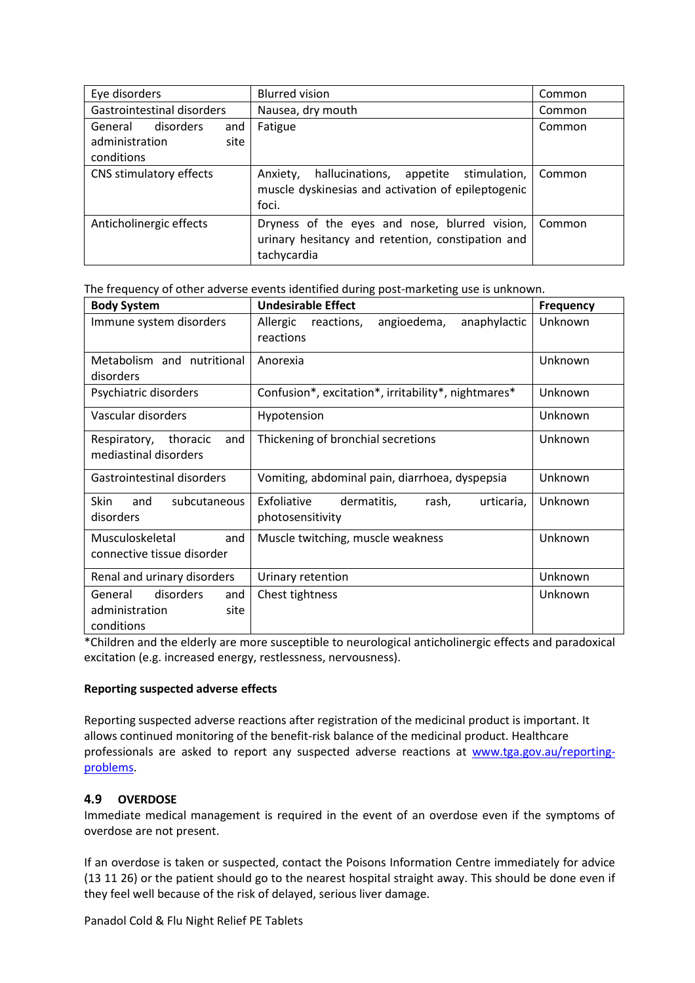| Eye disorders              |                | <b>Blurred vision</b>                                                                                             | Common |
|----------------------------|----------------|-------------------------------------------------------------------------------------------------------------------|--------|
| Gastrointestinal disorders |                | Nausea, dry mouth                                                                                                 | Common |
| General disorders          | and<br>site    | Fatigue                                                                                                           | Common |
| conditions                 | administration |                                                                                                                   |        |
| CNS stimulatory effects    |                | hallucinations, appetite stimulation,<br>Anxiety,<br>muscle dyskinesias and activation of epileptogenic<br>foci.  | Common |
| Anticholinergic effects    |                | Dryness of the eyes and nose, blurred vision,<br>urinary hesitancy and retention, constipation and<br>tachycardia | Common |

The frequency of other adverse events identified during post-marketing use is unknown.

| <b>Body System</b>                                                  | <b>Undesirable Effect</b>                                             | Frequency |
|---------------------------------------------------------------------|-----------------------------------------------------------------------|-----------|
| Immune system disorders                                             | Allergic<br>anaphylactic<br>reactions,<br>angioedema,<br>reactions    | Unknown   |
| Metabolism and nutritional<br>disorders                             | Anorexia                                                              | Unknown   |
| Psychiatric disorders                                               | Confusion*, excitation*, irritability*, nightmares*                   | Unknown   |
| Vascular disorders                                                  | Hypotension                                                           | Unknown   |
| Respiratory,<br>and<br>thoracic<br>mediastinal disorders            | Thickening of bronchial secretions                                    | Unknown   |
| Gastrointestinal disorders                                          | Vomiting, abdominal pain, diarrhoea, dyspepsia                        | Unknown   |
| Skin<br>and<br>subcutaneous<br>disorders                            | Exfoliative<br>dermatitis,<br>urticaria,<br>rash,<br>photosensitivity | Unknown   |
| Musculoskeletal<br>and<br>connective tissue disorder                | Muscle twitching, muscle weakness                                     | Unknown   |
| Renal and urinary disorders                                         | Urinary retention                                                     | Unknown   |
| disorders<br>General<br>and<br>administration<br>site<br>conditions | Chest tightness                                                       | Unknown   |

\*Children and the elderly are more susceptible to neurological anticholinergic effects and paradoxical excitation (e.g. increased energy, restlessness, nervousness).

## **Reporting suspected adverse effects**

Reporting suspected adverse reactions after registration of the medicinal product is important. It allows continued monitoring of the benefit-risk balance of the medicinal product. Healthcare professionals are asked to report any suspected adverse reactions at [www.tga.gov.au/reporting](http://www.tga.gov.au/reporting-problems)[problems.](http://www.tga.gov.au/reporting-problems)

# **4.9 OVERDOSE**

Immediate medical management is required in the event of an overdose even if the symptoms of overdose are not present.

If an overdose is taken or suspected, contact the Poisons Information Centre immediately for advice (13 11 26) or the patient should go to the nearest hospital straight away. This should be done even if they feel well because of the risk of delayed, serious liver damage.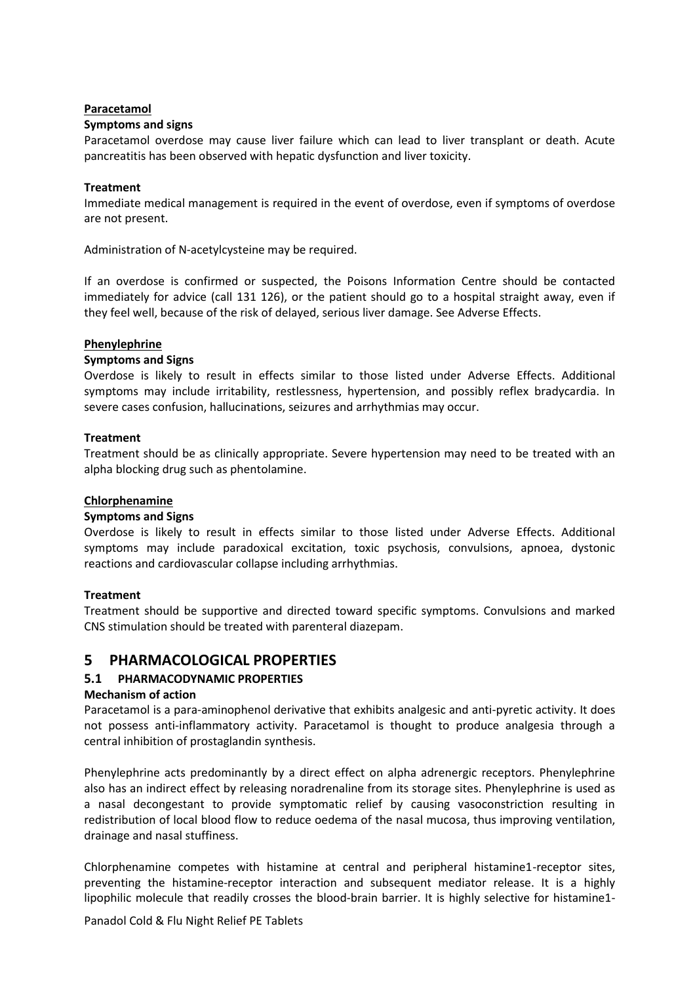#### **Paracetamol**

#### **Symptoms and signs**

Paracetamol overdose may cause liver failure which can lead to liver transplant or death. Acute pancreatitis has been observed with hepatic dysfunction and liver toxicity.

#### **Treatment**

Immediate medical management is required in the event of overdose, even if symptoms of overdose are not present.

Administration of N-acetylcysteine may be required.

If an overdose is confirmed or suspected, the Poisons Information Centre should be contacted immediately for advice (call 131 126), or the patient should go to a hospital straight away, even if they feel well, because of the risk of delayed, serious liver damage. See Adverse Effects.

#### **Phenylephrine**

#### **Symptoms and Signs**

Overdose is likely to result in effects similar to those listed under Adverse Effects. Additional symptoms may include irritability, restlessness, hypertension, and possibly reflex bradycardia. In severe cases confusion, hallucinations, seizures and arrhythmias may occur.

#### **Treatment**

Treatment should be as clinically appropriate. Severe hypertension may need to be treated with an alpha blocking drug such as phentolamine.

#### **Chlorphenamine**

## **Symptoms and Signs**

Overdose is likely to result in effects similar to those listed under Adverse Effects. Additional symptoms may include paradoxical excitation, toxic psychosis, convulsions, apnoea, dystonic reactions and cardiovascular collapse including arrhythmias.

## **Treatment**

Treatment should be supportive and directed toward specific symptoms. Convulsions and marked CNS stimulation should be treated with parenteral diazepam.

# **5 PHARMACOLOGICAL PROPERTIES**

## **5.1 PHARMACODYNAMIC PROPERTIES**

## **Mechanism of action**

Paracetamol is a para-aminophenol derivative that exhibits analgesic and anti-pyretic activity. It does not possess anti-inflammatory activity. Paracetamol is thought to produce analgesia through a central inhibition of prostaglandin synthesis.

Phenylephrine acts predominantly by a direct effect on alpha adrenergic receptors. Phenylephrine also has an indirect effect by releasing noradrenaline from its storage sites. Phenylephrine is used as a nasal decongestant to provide symptomatic relief by causing vasoconstriction resulting in redistribution of local blood flow to reduce oedema of the nasal mucosa, thus improving ventilation, drainage and nasal stuffiness.

Chlorphenamine competes with histamine at central and peripheral histamine1-receptor sites, preventing the histamine-receptor interaction and subsequent mediator release. It is a highly lipophilic molecule that readily crosses the blood-brain barrier. It is highly selective for histamine1-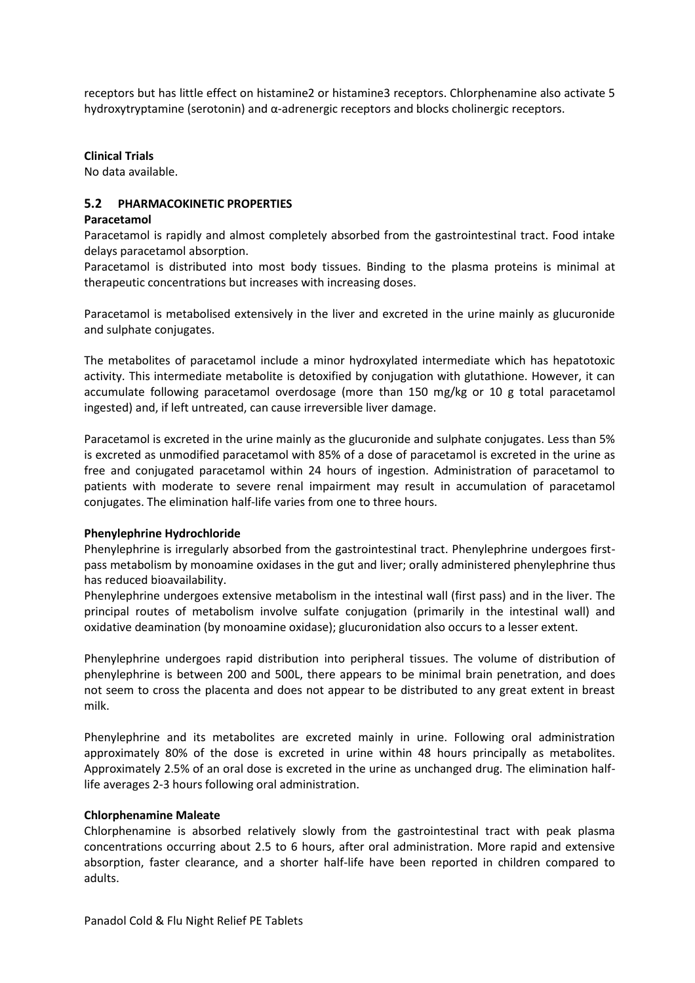receptors but has little effect on histamine2 or histamine3 receptors. Chlorphenamine also activate 5 hydroxytryptamine (serotonin) and α-adrenergic receptors and blocks cholinergic receptors.

**Clinical Trials**

No data available.

## **5.2 PHARMACOKINETIC PROPERTIES**

#### **Paracetamol**

Paracetamol is rapidly and almost completely absorbed from the gastrointestinal tract. Food intake delays paracetamol absorption.

Paracetamol is distributed into most body tissues. Binding to the plasma proteins is minimal at therapeutic concentrations but increases with increasing doses.

Paracetamol is metabolised extensively in the liver and excreted in the urine mainly as glucuronide and sulphate conjugates.

The metabolites of paracetamol include a minor hydroxylated intermediate which has hepatotoxic activity. This intermediate metabolite is detoxified by conjugation with glutathione. However, it can accumulate following paracetamol overdosage (more than 150 mg/kg or 10 g total paracetamol ingested) and, if left untreated, can cause irreversible liver damage.

Paracetamol is excreted in the urine mainly as the glucuronide and sulphate conjugates. Less than 5% is excreted as unmodified paracetamol with 85% of a dose of paracetamol is excreted in the urine as free and conjugated paracetamol within 24 hours of ingestion. Administration of paracetamol to patients with moderate to severe renal impairment may result in accumulation of paracetamol conjugates. The elimination half-life varies from one to three hours.

## **Phenylephrine Hydrochloride**

Phenylephrine is irregularly absorbed from the gastrointestinal tract. Phenylephrine undergoes firstpass metabolism by monoamine oxidases in the gut and liver; orally administered phenylephrine thus has reduced bioavailability.

Phenylephrine undergoes extensive metabolism in the intestinal wall (first pass) and in the liver. The principal routes of metabolism involve sulfate conjugation (primarily in the intestinal wall) and oxidative deamination (by monoamine oxidase); glucuronidation also occurs to a lesser extent.

Phenylephrine undergoes rapid distribution into peripheral tissues. The volume of distribution of phenylephrine is between 200 and 500L, there appears to be minimal brain penetration, and does not seem to cross the placenta and does not appear to be distributed to any great extent in breast milk.

Phenylephrine and its metabolites are excreted mainly in urine. Following oral administration approximately 80% of the dose is excreted in urine within 48 hours principally as metabolites. Approximately 2.5% of an oral dose is excreted in the urine as unchanged drug. The elimination halflife averages 2-3 hours following oral administration.

## **Chlorphenamine Maleate**

Chlorphenamine is absorbed relatively slowly from the gastrointestinal tract with peak plasma concentrations occurring about 2.5 to 6 hours, after oral administration. More rapid and extensive absorption, faster clearance, and a shorter half-life have been reported in children compared to adults.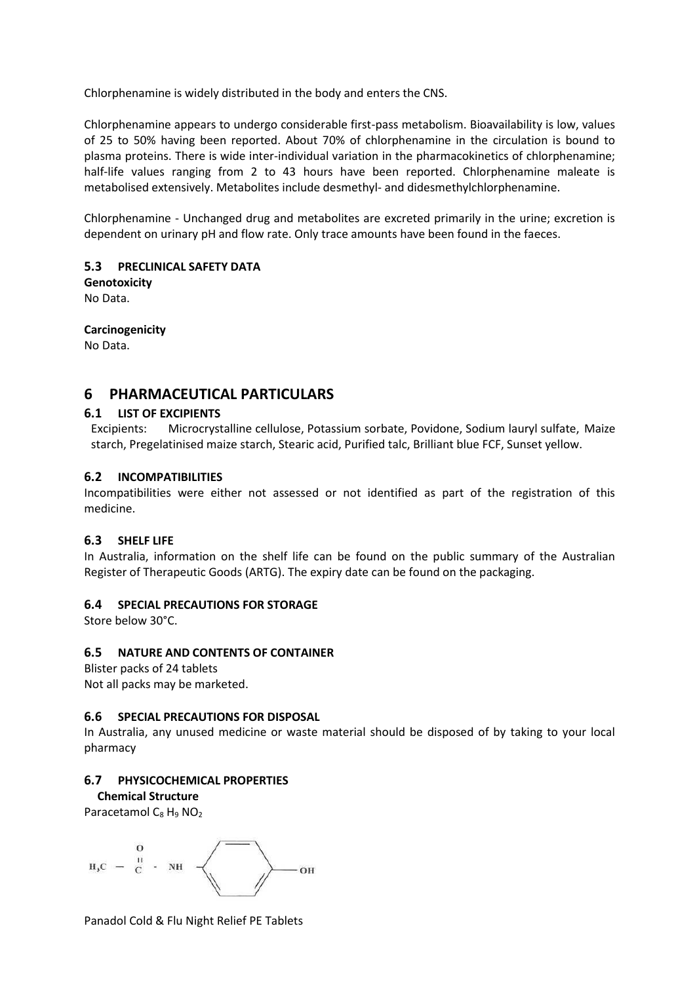Chlorphenamine is widely distributed in the body and enters the CNS.

Chlorphenamine appears to undergo considerable first-pass metabolism. Bioavailability is low, values of 25 to 50% having been reported. About 70% of chlorphenamine in the circulation is bound to plasma proteins. There is wide inter-individual variation in the pharmacokinetics of chlorphenamine; half-life values ranging from 2 to 43 hours have been reported. Chlorphenamine maleate is metabolised extensively. Metabolites include desmethyl- and didesmethylchlorphenamine.

Chlorphenamine - Unchanged drug and metabolites are excreted primarily in the urine; excretion is dependent on urinary pH and flow rate. Only trace amounts have been found in the faeces.

**5.3 PRECLINICAL SAFETY DATA Genotoxicity**

No Data.

**Carcinogenicity**

No Data.

# **6 PHARMACEUTICAL PARTICULARS**

# **6.1 LIST OF EXCIPIENTS**

Excipients: Microcrystalline cellulose, Potassium sorbate, Povidone, Sodium lauryl sulfate, Maize starch, Pregelatinised maize starch, Stearic acid, Purified talc, Brilliant blue FCF, Sunset yellow.

# **6.2 INCOMPATIBILITIES**

Incompatibilities were either not assessed or not identified as part of the registration of this medicine.

# **6.3 SHELF LIFE**

In Australia, information on the shelf life can be found on the public summary of the Australian Register of Therapeutic Goods (ARTG). The expiry date can be found on the packaging.

## **6.4 SPECIAL PRECAUTIONS FOR STORAGE**

Store below 30°C.

# **6.5 NATURE AND CONTENTS OF CONTAINER**

## Blister packs of 24 tablets

Not all packs may be marketed.

## **6.6 SPECIAL PRECAUTIONS FOR DISPOSAL**

In Australia, any unused medicine or waste material should be disposed of by taking to your local pharmacy

# **6.7 PHYSICOCHEMICAL PROPERTIES**

**Chemical Structure**

Paracetamol  $C_8$  H<sub>9</sub> NO<sub>2</sub>

$$
H_3C = \begin{array}{c} 0 \\ C \end{array} \cdot \quad NH \quad \longleftarrow \quad \longrightarrow
$$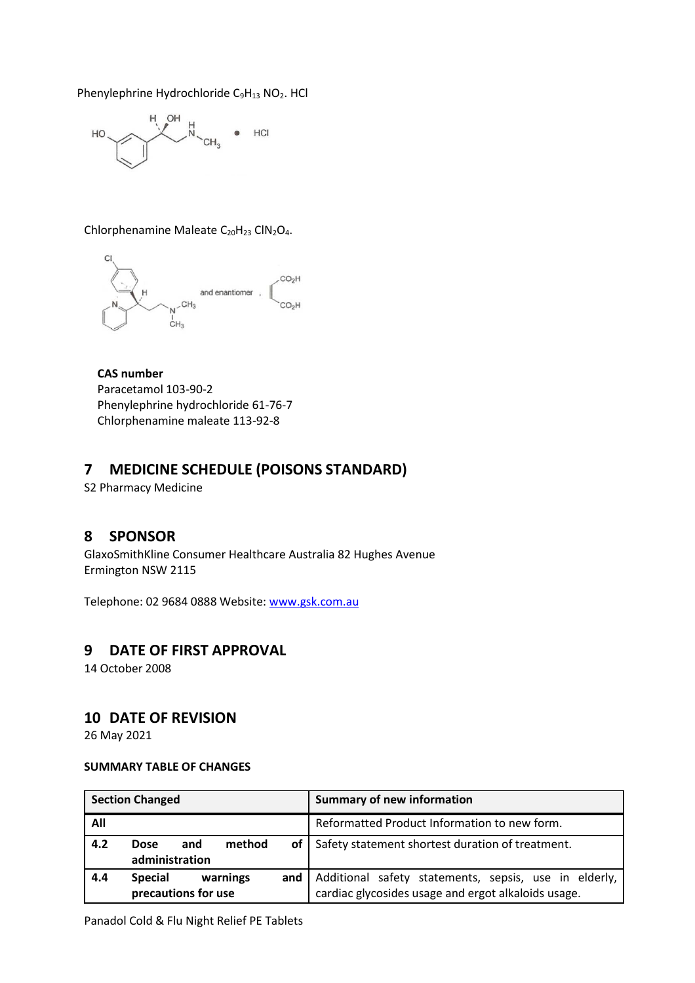Phenylephrine Hydrochloride C<sub>9</sub>H<sub>13</sub> NO<sub>2</sub>. HCl



Chlorphenamine Maleate C<sub>20</sub>H<sub>23</sub> ClN<sub>2</sub>O<sub>4</sub>.

**CAS number** Paracetamol 103-90-2 Phenylephrine hydrochloride 61-76-7 Chlorphenamine maleate 113-92-8

# **7 MEDICINE SCHEDULE (POISONS STANDARD)**

S2 Pharmacy Medicine

# **8 SPONSOR**

GlaxoSmithKline Consumer Healthcare Australia 82 Hughes Avenue Ermington NSW 2115

Telephone: 02 9684 0888 Website[: www.gsk.com.au](http://www.gsk.com.au/)

# **9 DATE OF FIRST APPROVAL**

14 October 2008

# **10 DATE OF REVISION**

26 May 2021

## **SUMMARY TABLE OF CHANGES**

|     | <b>Section Changed</b>                            |     | <b>Summary of new information</b>                                                                            |
|-----|---------------------------------------------------|-----|--------------------------------------------------------------------------------------------------------------|
| All |                                                   |     | Reformatted Product Information to new form.                                                                 |
| 4.2 | method<br><b>Dose</b><br>and<br>administration    |     | of   Safety statement shortest duration of treatment.                                                        |
| 4.4 | <b>Special</b><br>warnings<br>precautions for use | and | Additional safety statements, sepsis, use in elderly,<br>cardiac glycosides usage and ergot alkaloids usage. |